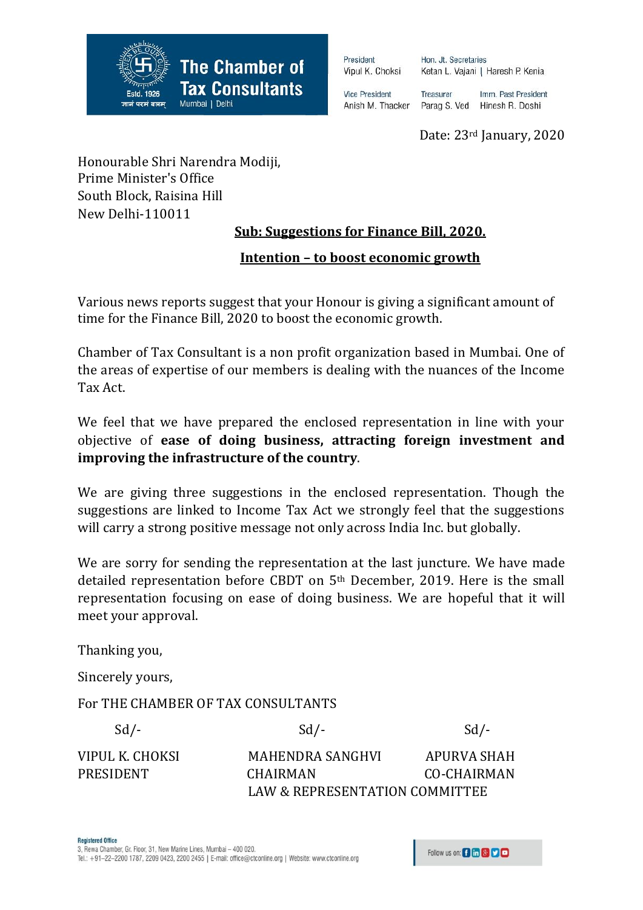

President Vipul K. Choksi Hon. Jt. Secretaries Ketan L. Vajani | Haresh P. Kenia

**Vice President** Anish M. Thacker Treasurer Imm. Past President Parag S. Ved Hinesh R. Doshi

Date: 23rd January, 2020

Honourable Shri Narendra Modiji, Prime Minister's Office South Block, Raisina Hill New Delhi-110011

# **Sub: Suggestions for Finance Bill, 2020.**

# **Intention – to boost economic growth**

Various news reports suggest that your Honour is giving a significant amount of time for the Finance Bill, 2020 to boost the economic growth.

Chamber of Tax Consultant is a non profit organization based in Mumbai. One of the areas of expertise of our members is dealing with the nuances of the Income Tax Act.

We feel that we have prepared the enclosed representation in line with your objective of **ease of doing business, attracting foreign investment and improving the infrastructure of the country**.

We are giving three suggestions in the enclosed representation. Though the suggestions are linked to Income Tax Act we strongly feel that the suggestions will carry a strong positive message not only across India Inc. but globally.

We are sorry for sending the representation at the last juncture. We have made detailed representation before CBDT on 5th December, 2019. Here is the small representation focusing on ease of doing business. We are hopeful that it will meet your approval.

Thanking you,

Sincerely yours,

For THE CHAMBER OF TAX CONSULTANTS

| $Sd$ /-         | $Sd$ /-                        | $Sd$ /-     |
|-----------------|--------------------------------|-------------|
| VIPUL K. CHOKSI | MAHENDRA SANGHVI               | APURVA SHAH |
| PRESIDENT       | <b>CHAIRMAN</b>                | CO-CHAIRMAN |
|                 | LAW & REPRESENTATION COMMITTEE |             |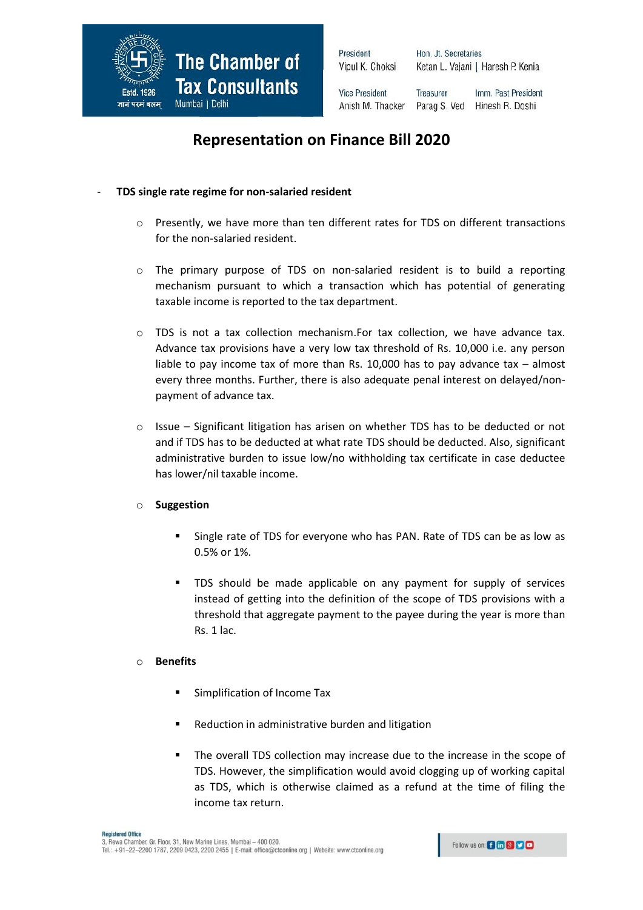

President Vipul K. Choksi Hon. Jt. Secretaries Ketan L. Vajani | Haresh P. Kenia

**Vice President** Treasurer Anish M. Thacker

Imm. Past President Parag S. Ved Hinesh R. Doshi

# **Representation on Finance Bill 2020**

### - **TDS single rate regime for non-salaried resident**

- o Presently, we have more than ten different rates for TDS on different transactions for the non-salaried resident.
- o The primary purpose of TDS on non-salaried resident is to build a reporting mechanism pursuant to which a transaction which has potential of generating taxable income is reported to the tax department.
- o TDS is not a tax collection mechanism.For tax collection, we have advance tax. Advance tax provisions have a very low tax threshold of Rs. 10,000 i.e. any person liable to pay income tax of more than Rs.  $10,000$  has to pay advance tax – almost every three months. Further, there is also adequate penal interest on delayed/nonpayment of advance tax.
- Issue Significant litigation has arisen on whether TDS has to be deducted or not and if TDS has to be deducted at what rate TDS should be deducted. Also, significant administrative burden to issue low/no withholding tax certificate in case deductee has lower/nil taxable income.

## o **Suggestion**

- **Single rate of TDS for everyone who has PAN. Rate of TDS can be as low as** 0.5% or 1%.
- TDS should be made applicable on any payment for supply of services instead of getting into the definition of the scope of TDS provisions with a threshold that aggregate payment to the payee during the year is more than Rs. 1 lac.

#### o **Benefits**

- **Simplification of Income Tax**
- Reduction in administrative burden and litigation
- The overall TDS collection may increase due to the increase in the scope of TDS. However, the simplification would avoid clogging up of working capital as TDS, which is otherwise claimed as a refund at the time of filing the income tax return.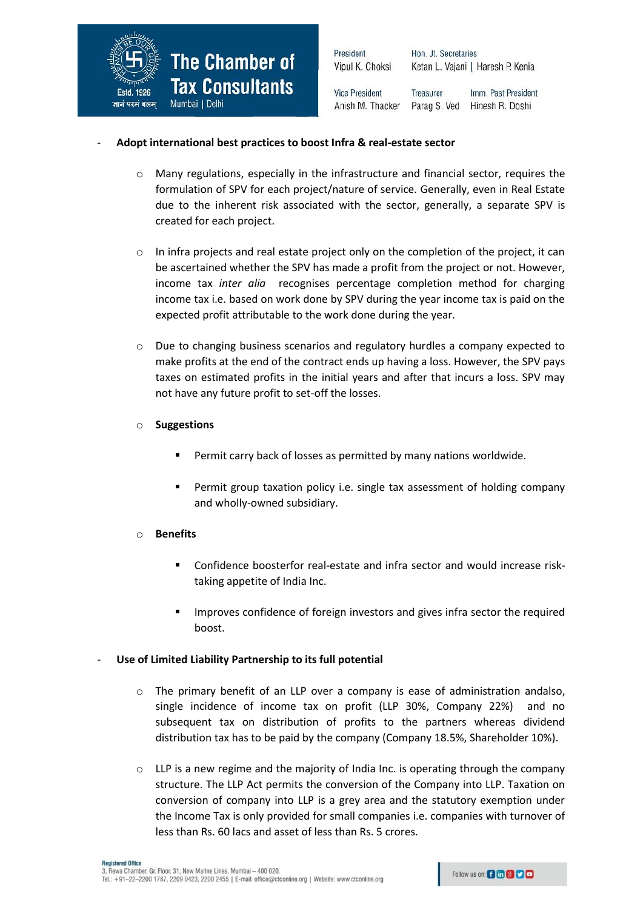

| President             | Hon. Jt. Secretaries              |                     |
|-----------------------|-----------------------------------|---------------------|
| Vipul K. Choksi       | Ketan L. Vajani   Haresh P. Kenia |                     |
| <b>Vice President</b> | <b>Treasurer</b>                  | Imm. Past President |
| Anish M. Thacker      | Parag S. Ved                      | Hinesh R. Doshi     |

#### - **Adopt international best practices to boost Infra & real-estate sector**

o Many regulations, especially in the infrastructure and financial sector, requires the formulation of SPV for each project/nature of service. Generally, even in Real Estate due to the inherent risk associated with the sector, generally, a separate SPV is created for each project.

p

- $\circ$  In infra projects and real estate project only on the completion of the project, it can be ascertained whether the SPV has made a profit from the project or not. However, income tax *inter alia* recognises percentage completion method for charging income tax i.e. based on work done by SPV during the year income tax is paid on the expected profit attributable to the work done during the year.
- o Due to changing business scenarios and regulatory hurdles a company expected to make profits at the end of the contract ends up having a loss. However, the SPV pays taxes on estimated profits in the initial years and after that incurs a loss. SPV may not have any future profit to set-off the losses.
- o **Suggestions** 
	- Permit carry back of losses as permitted by many nations worldwide.
	- Permit group taxation policy i.e. single tax assessment of holding company and wholly-owned subsidiary.

#### o **Benefits**

- Confidence boosterfor real-estate and infra sector and would increase risktaking appetite of India Inc.
- **IMPROVER 1** Improves confidence of foreign investors and gives infra sector the required boost.

#### Use of Limited Liability Partnership to its full potential

- The primary benefit of an LLP over a company is ease of administration andalso, single incidence of income tax on profit (LLP 30%, Company 22%) and no subsequent tax on distribution of profits to the partners whereas dividend distribution tax has to be paid by the company (Company 18.5%, Shareholder 10%).
- $\circ$  LLP is a new regime and the majority of India Inc. is operating through the company structure. The LLP Act permits the conversion of the Company into LLP. Taxation on conversion of company into LLP is a grey area and the statutory exemption under the Income Tax is only provided for small companies i.e. companies with turnover of less than Rs. 60 lacs and asset of less than Rs. 5 crores.